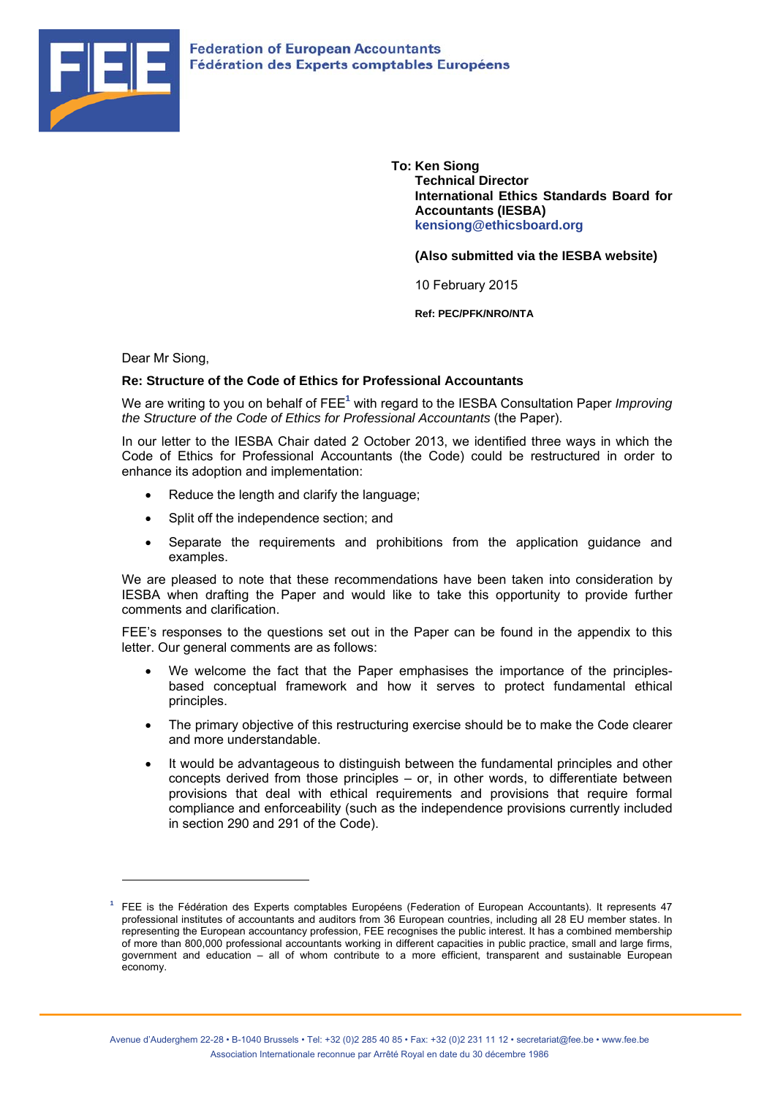

**To: Ken Siong Technical Director International Ethics Standards Board for Accountants (IESBA) kensiong@ethicsboard.org** 

**(Also submitted via the IESBA website)** 

10 February 2015

**Ref: PEC/PFK/NRO/NTA** 

Dear Mr Siong,

 $\overline{a}$ 

# **Re: Structure of the Code of Ethics for Professional Accountants**

We are writing to you on behalf of FEE<sup>1</sup> with regard to the IESBA Consultation Paper *Improving the Structure of the Code of Ethics for Professional Accountants* (the Paper).

In our letter to the IESBA Chair dated 2 October 2013, we identified three ways in which the Code of Ethics for Professional Accountants (the Code) could be restructured in order to enhance its adoption and implementation:

- Reduce the length and clarify the language;
- Split off the independence section; and
- Separate the requirements and prohibitions from the application guidance and examples.

We are pleased to note that these recommendations have been taken into consideration by IESBA when drafting the Paper and would like to take this opportunity to provide further comments and clarification.

FEE's responses to the questions set out in the Paper can be found in the appendix to this letter. Our general comments are as follows:

- We welcome the fact that the Paper emphasises the importance of the principlesbased conceptual framework and how it serves to protect fundamental ethical principles.
- The primary objective of this restructuring exercise should be to make the Code clearer and more understandable.
- It would be advantageous to distinguish between the fundamental principles and other concepts derived from those principles – or, in other words, to differentiate between provisions that deal with ethical requirements and provisions that require formal compliance and enforceability (such as the independence provisions currently included in section 290 and 291 of the Code).

**<sup>1</sup>** FEE is the Fédération des Experts comptables Européens (Federation of European Accountants). It represents 47 professional institutes of accountants and auditors from 36 European countries, including all 28 EU member states. In representing the European accountancy profession, FEE recognises the public interest. It has a combined membership of more than 800,000 professional accountants working in different capacities in public practice, small and large firms, government and education – all of whom contribute to a more efficient, transparent and sustainable European economy.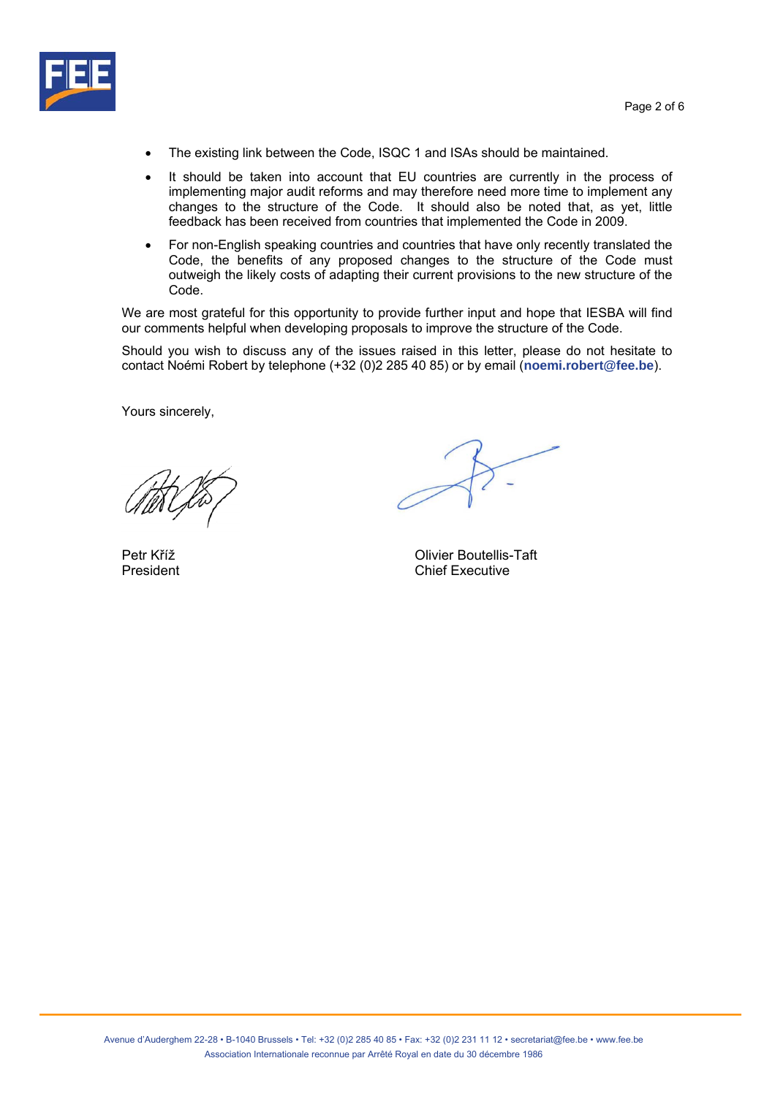

- The existing link between the Code, ISQC 1 and ISAs should be maintained.
- It should be taken into account that EU countries are currently in the process of implementing major audit reforms and may therefore need more time to implement any changes to the structure of the Code. It should also be noted that, as yet, little feedback has been received from countries that implemented the Code in 2009.
- For non-English speaking countries and countries that have only recently translated the Code, the benefits of any proposed changes to the structure of the Code must outweigh the likely costs of adapting their current provisions to the new structure of the Code.

We are most grateful for this opportunity to provide further input and hope that IESBA will find our comments helpful when developing proposals to improve the structure of the Code.

Should you wish to discuss any of the issues raised in this letter, please do not hesitate to contact Noémi Robert by telephone (+32 (0)2 285 40 85) or by email (**noemi.robert@fee.be**).

Yours sincerely,

Petr Kříž **Divier Boutellis-Taft** President **Chief Executive**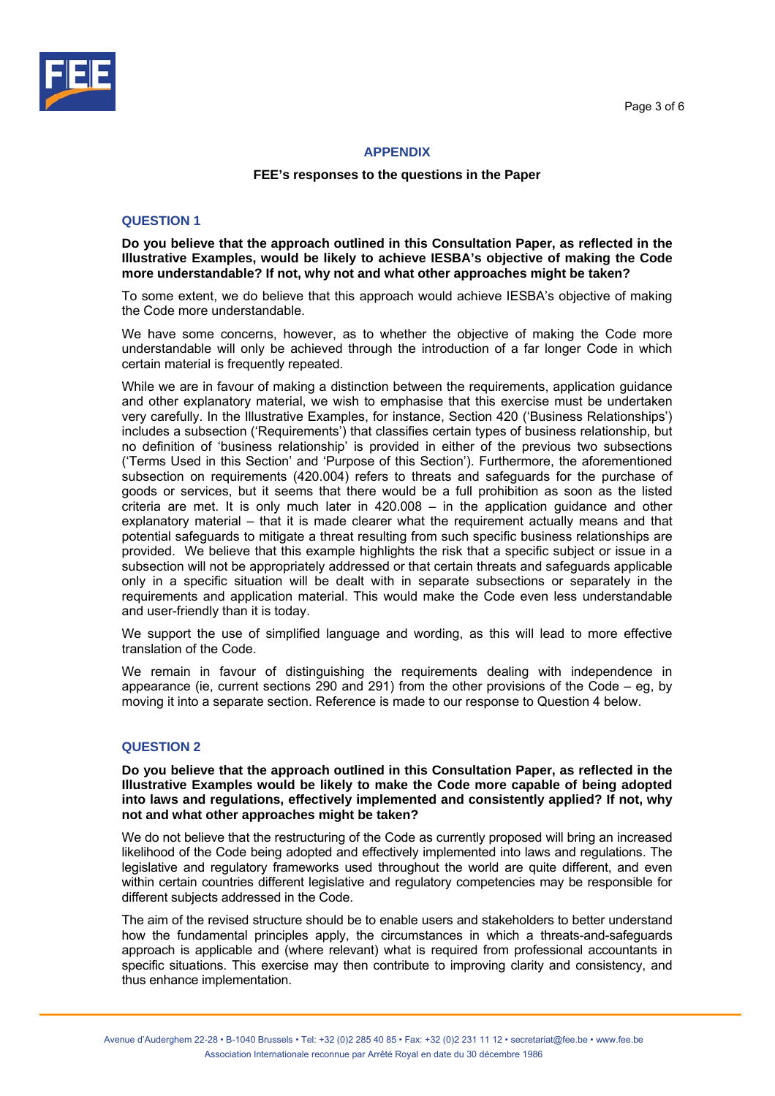



# **APPENDIX**

### **FEE's responses to the questions in the Paper**

### **QUESTION 1**

**Do you believe that the approach outlined in this Consultation Paper, as reflected in the Illustrative Examples, would be likely to achieve IESBA's objective of making the Code more understandable? If not, why not and what other approaches might be taken?** 

To some extent, we do believe that this approach would achieve IESBA's objective of making the Code more understandable.

We have some concerns, however, as to whether the objective of making the Code more understandable will only be achieved through the introduction of a far longer Code in which certain material is frequently repeated.

While we are in favour of making a distinction between the requirements, application guidance and other explanatory material, we wish to emphasise that this exercise must be undertaken very carefully. In the Illustrative Examples, for instance, Section 420 ('Business Relationships') includes a subsection ('Requirements') that classifies certain types of business relationship, but no definition of 'business relationship' is provided in either of the previous two subsections ('Terms Used in this Section' and 'Purpose of this Section'). Furthermore, the aforementioned subsection on requirements (420.004) refers to threats and safeguards for the purchase of goods or services, but it seems that there would be a full prohibition as soon as the listed criteria are met. It is only much later in 420.008 – in the application guidance and other explanatory material – that it is made clearer what the requirement actually means and that potential safeguards to mitigate a threat resulting from such specific business relationships are provided. We believe that this example highlights the risk that a specific subject or issue in a subsection will not be appropriately addressed or that certain threats and safeguards applicable only in a specific situation will be dealt with in separate subsections or separately in the requirements and application material. This would make the Code even less understandable and user-friendly than it is today.

We support the use of simplified language and wording, as this will lead to more effective translation of the Code.

We remain in favour of distinguishing the requirements dealing with independence in appearance (ie, current sections 290 and 291) from the other provisions of the Code – eg, by moving it into a separate section. Reference is made to our response to Question 4 below.

# **QUESTION 2**

**Do you believe that the approach outlined in this Consultation Paper, as reflected in the Illustrative Examples would be likely to make the Code more capable of being adopted into laws and regulations, effectively implemented and consistently applied? If not, why not and what other approaches might be taken?** 

We do not believe that the restructuring of the Code as currently proposed will bring an increased likelihood of the Code being adopted and effectively implemented into laws and regulations. The legislative and regulatory frameworks used throughout the world are quite different, and even within certain countries different legislative and regulatory competencies may be responsible for different subjects addressed in the Code.

The aim of the revised structure should be to enable users and stakeholders to better understand how the fundamental principles apply, the circumstances in which a threats-and-safeguards approach is applicable and (where relevant) what is required from professional accountants in specific situations. This exercise may then contribute to improving clarity and consistency, and thus enhance implementation.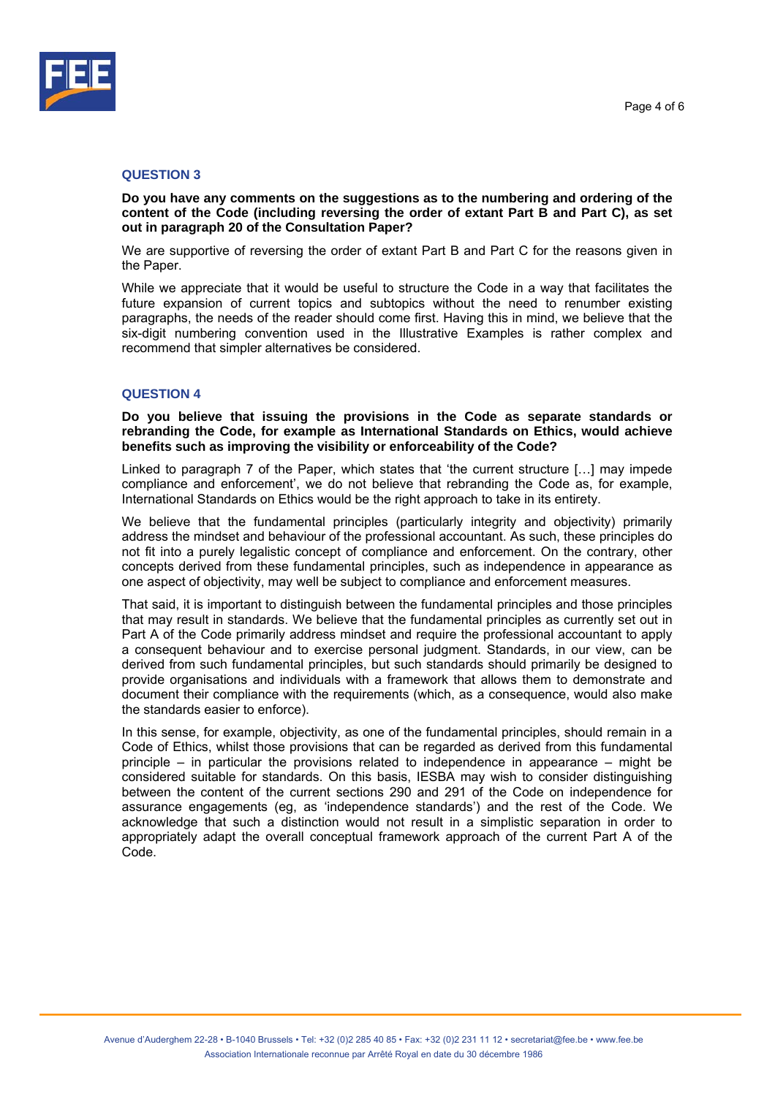



### **QUESTION 3**

**Do you have any comments on the suggestions as to the numbering and ordering of the content of the Code (including reversing the order of extant Part B and Part C), as set out in paragraph 20 of the Consultation Paper?** 

We are supportive of reversing the order of extant Part B and Part C for the reasons given in the Paper.

While we appreciate that it would be useful to structure the Code in a way that facilitates the future expansion of current topics and subtopics without the need to renumber existing paragraphs, the needs of the reader should come first. Having this in mind, we believe that the six-digit numbering convention used in the Illustrative Examples is rather complex and recommend that simpler alternatives be considered.

# **QUESTION 4**

**Do you believe that issuing the provisions in the Code as separate standards or rebranding the Code, for example as International Standards on Ethics, would achieve benefits such as improving the visibility or enforceability of the Code?** 

Linked to paragraph 7 of the Paper, which states that 'the current structure […] may impede compliance and enforcement', we do not believe that rebranding the Code as, for example, International Standards on Ethics would be the right approach to take in its entirety.

We believe that the fundamental principles (particularly integrity and objectivity) primarily address the mindset and behaviour of the professional accountant. As such, these principles do not fit into a purely legalistic concept of compliance and enforcement. On the contrary, other concepts derived from these fundamental principles, such as independence in appearance as one aspect of objectivity, may well be subject to compliance and enforcement measures.

That said, it is important to distinguish between the fundamental principles and those principles that may result in standards. We believe that the fundamental principles as currently set out in Part A of the Code primarily address mindset and require the professional accountant to apply a consequent behaviour and to exercise personal judgment. Standards, in our view, can be derived from such fundamental principles, but such standards should primarily be designed to provide organisations and individuals with a framework that allows them to demonstrate and document their compliance with the requirements (which, as a consequence, would also make the standards easier to enforce).

In this sense, for example, objectivity, as one of the fundamental principles, should remain in a Code of Ethics, whilst those provisions that can be regarded as derived from this fundamental principle – in particular the provisions related to independence in appearance – might be considered suitable for standards. On this basis, IESBA may wish to consider distinguishing between the content of the current sections 290 and 291 of the Code on independence for assurance engagements (eg, as 'independence standards') and the rest of the Code. We acknowledge that such a distinction would not result in a simplistic separation in order to appropriately adapt the overall conceptual framework approach of the current Part A of the Code.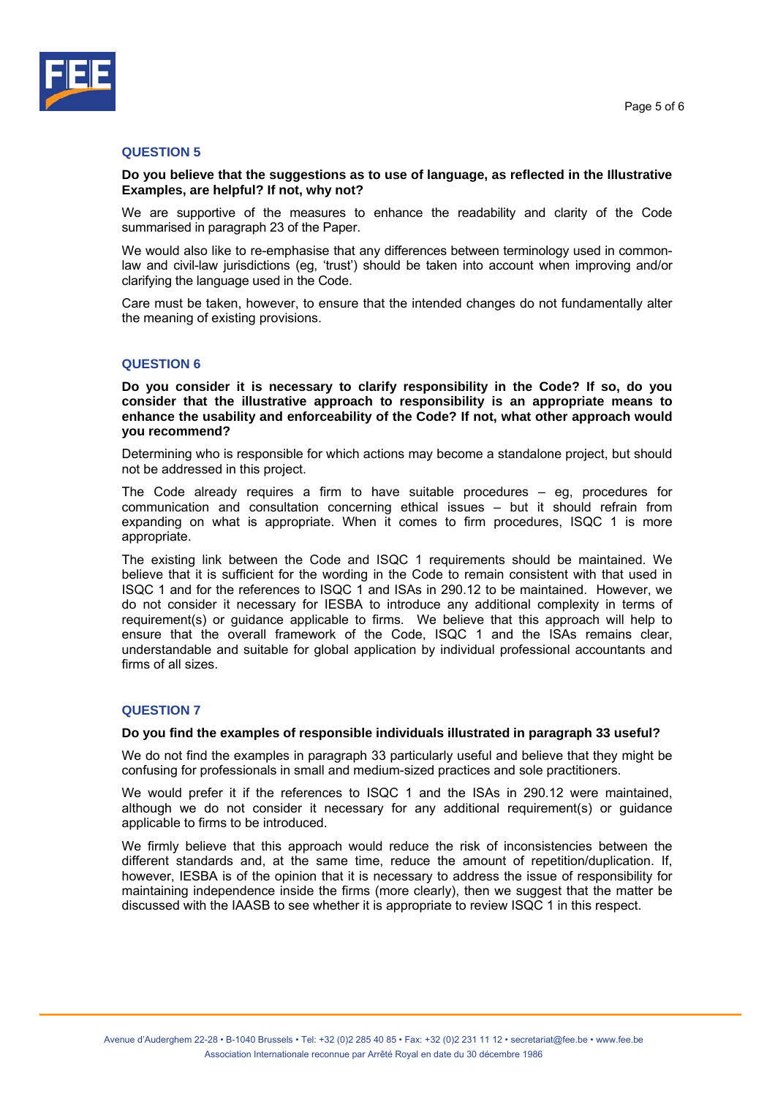

### **QUESTION 5**

**Do you believe that the suggestions as to use of language, as reflected in the Illustrative Examples, are helpful? If not, why not?** 

We are supportive of the measures to enhance the readability and clarity of the Code summarised in paragraph 23 of the Paper.

We would also like to re-emphasise that any differences between terminology used in commonlaw and civil-law jurisdictions (eg, 'trust') should be taken into account when improving and/or clarifying the language used in the Code.

Care must be taken, however, to ensure that the intended changes do not fundamentally alter the meaning of existing provisions.

# **QUESTION 6**

**Do you consider it is necessary to clarify responsibility in the Code? If so, do you consider that the illustrative approach to responsibility is an appropriate means to enhance the usability and enforceability of the Code? If not, what other approach would you recommend?** 

Determining who is responsible for which actions may become a standalone project, but should not be addressed in this project.

The Code already requires a firm to have suitable procedures – eg, procedures for communication and consultation concerning ethical issues – but it should refrain from expanding on what is appropriate. When it comes to firm procedures, ISQC 1 is more appropriate.

The existing link between the Code and ISQC 1 requirements should be maintained. We believe that it is sufficient for the wording in the Code to remain consistent with that used in ISQC 1 and for the references to ISQC 1 and ISAs in 290.12 to be maintained. However, we do not consider it necessary for IESBA to introduce any additional complexity in terms of requirement(s) or guidance applicable to firms. We believe that this approach will help to ensure that the overall framework of the Code, ISQC 1 and the ISAs remains clear, understandable and suitable for global application by individual professional accountants and firms of all sizes.

# **QUESTION 7**

#### **Do you find the examples of responsible individuals illustrated in paragraph 33 useful?**

We do not find the examples in paragraph 33 particularly useful and believe that they might be confusing for professionals in small and medium-sized practices and sole practitioners.

We would prefer it if the references to ISQC 1 and the ISAs in 290.12 were maintained, although we do not consider it necessary for any additional requirement(s) or guidance applicable to firms to be introduced.

We firmly believe that this approach would reduce the risk of inconsistencies between the different standards and, at the same time, reduce the amount of repetition/duplication. If, however, IESBA is of the opinion that it is necessary to address the issue of responsibility for maintaining independence inside the firms (more clearly), then we suggest that the matter be discussed with the IAASB to see whether it is appropriate to review ISQC 1 in this respect.